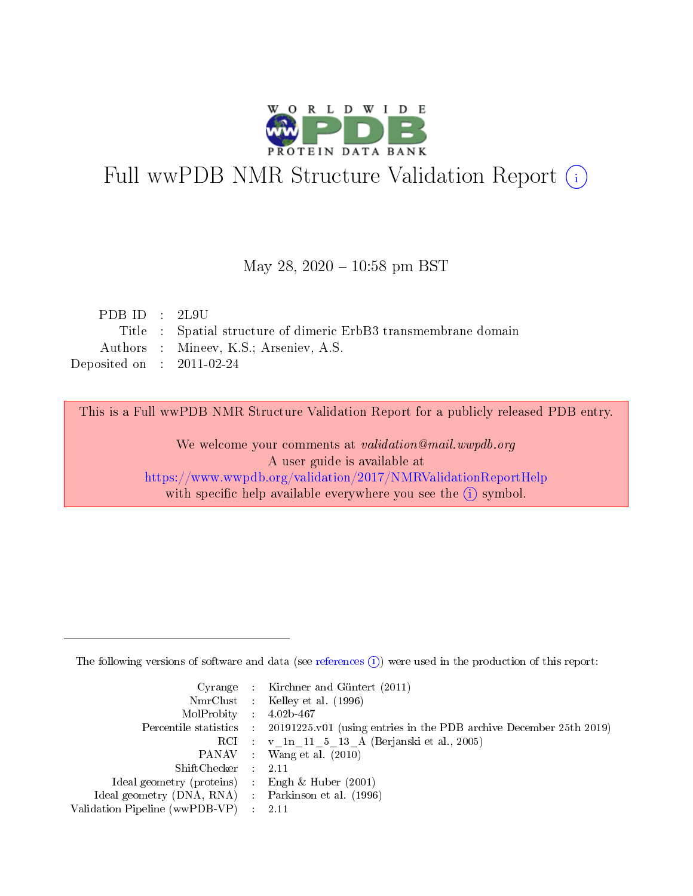

# Full wwPDB NMR Structure Validation Report (i)

#### May 28,  $2020 - 10:58$  pm BST

| PDBID : 2L9U                |                                                                 |
|-----------------------------|-----------------------------------------------------------------|
|                             | Title : Spatial structure of dimeric ErbB3 transmembrane domain |
|                             | Authors : Mineev, K.S.; Arseniev, A.S.                          |
| Deposited on : $2011-02-24$ |                                                                 |

This is a Full wwPDB NMR Structure Validation Report for a publicly released PDB entry.

We welcome your comments at validation@mail.wwpdb.org A user guide is available at <https://www.wwpdb.org/validation/2017/NMRValidationReportHelp> with specific help available everywhere you see the  $(i)$  symbol.

The following versions of software and data (see [references](https://www.wwpdb.org/validation/2017/NMRValidationReportHelp#references)  $(1)$ ) were used in the production of this report:

|                                                    | Cyrange : Kirchner and Güntert $(2011)$                                                    |
|----------------------------------------------------|--------------------------------------------------------------------------------------------|
|                                                    | NmrClust : Kelley et al. (1996)                                                            |
| $MolProbability$ 4.02b-467                         |                                                                                            |
|                                                    | Percentile statistics : 20191225.v01 (using entries in the PDB archive December 25th 2019) |
|                                                    | RCI : v 1n 11 5 13 A (Berjanski et al., 2005)                                              |
|                                                    | PANAV Wang et al. (2010)                                                                   |
| $ShiftChecker$ : 2.11                              |                                                                                            |
| Ideal geometry (proteins) : Engh $\&$ Huber (2001) |                                                                                            |
| Ideal geometry (DNA, RNA) Parkinson et al. (1996)  |                                                                                            |
| Validation Pipeline (wwPDB-VP)                     | 2.11                                                                                       |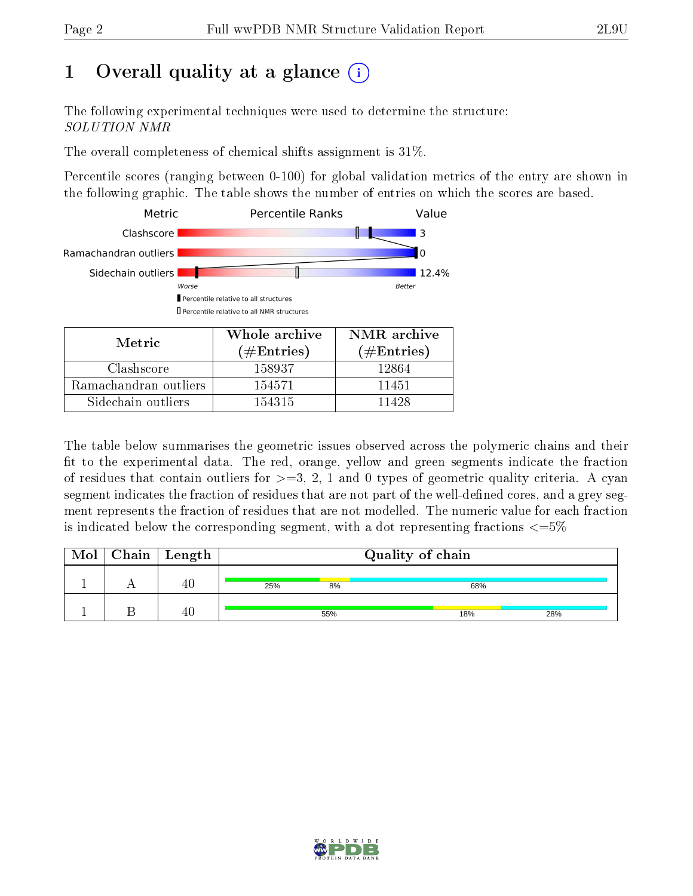# 1 [O](https://www.wwpdb.org/validation/2017/NMRValidationReportHelp#overall_quality)verall quality at a glance (i)

The following experimental techniques were used to determine the structure: SOLUTION NMR

The overall completeness of chemical shifts assignment is 31%.

Percentile scores (ranging between 0-100) for global validation metrics of the entry are shown in the following graphic. The table shows the number of entries on which the scores are based.



Sidechain outliers 154315 11428

The table below summarises the geometric issues observed across the polymeric chains and their fit to the experimental data. The red, orange, yellow and green segments indicate the fraction of residues that contain outliers for  $>=3, 2, 1$  and 0 types of geometric quality criteria. A cyan segment indicates the fraction of residues that are not part of the well-defined cores, and a grey segment represents the fraction of residues that are not modelled. The numeric value for each fraction is indicated below the corresponding segment, with a dot representing fractions  $\epsilon = 5\%$ 

| Mol | $\mid$ Chain $\mid$ Length | Quality of chain |     |     |  |
|-----|----------------------------|------------------|-----|-----|--|
|     | 40                         | 8%<br>25%        | 68% |     |  |
|     | 40                         | 55%              | 18% | 28% |  |

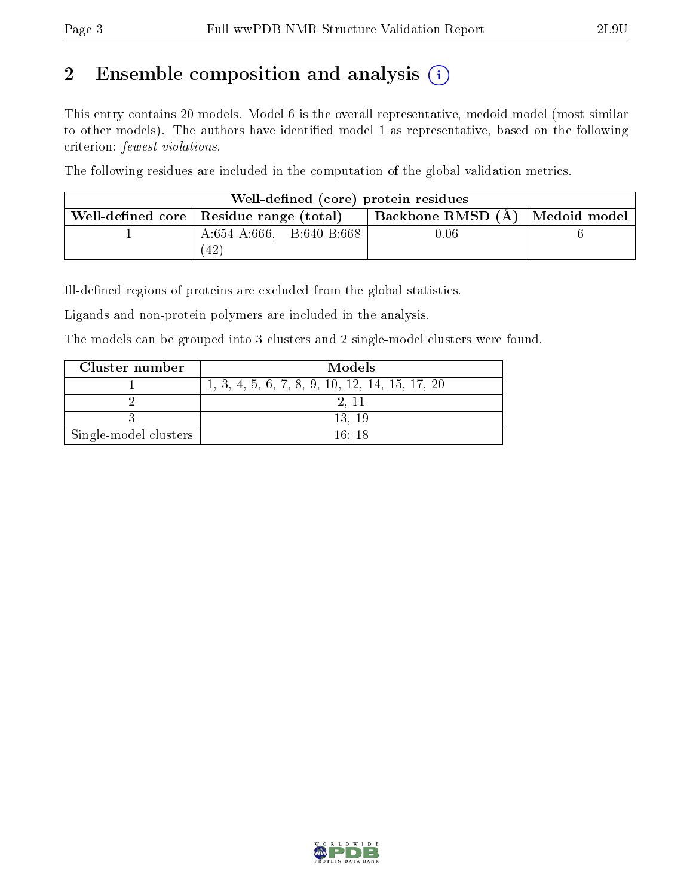# 2 Ensemble composition and analysis  $(i)$

This entry contains 20 models. Model 6 is the overall representative, medoid model (most similar to other models). The authors have identified model 1 as representative, based on the following criterion: fewest violations.

The following residues are included in the computation of the global validation metrics.

| Well-defined (core) protein residues |                                           |                                  |  |  |  |  |  |
|--------------------------------------|-------------------------------------------|----------------------------------|--|--|--|--|--|
|                                      | Well-defined core   Residue range (total) | Backbone RMSD (A)   Medoid model |  |  |  |  |  |
|                                      | $A:654-A:666$ , $B:640-B:668$             | 0.06                             |  |  |  |  |  |
|                                      | 42                                        |                                  |  |  |  |  |  |

Ill-defined regions of proteins are excluded from the global statistics.

Ligands and non-protein polymers are included in the analysis.

The models can be grouped into 3 clusters and 2 single-model clusters were found.

| Cluster number        | Models                                           |
|-----------------------|--------------------------------------------------|
|                       | $1, 3, 4, 5, 6, 7, 8, 9, 10, 12, 14, 15, 17, 20$ |
|                       |                                                  |
|                       | 13.19                                            |
| Single-model clusters | 16:18                                            |

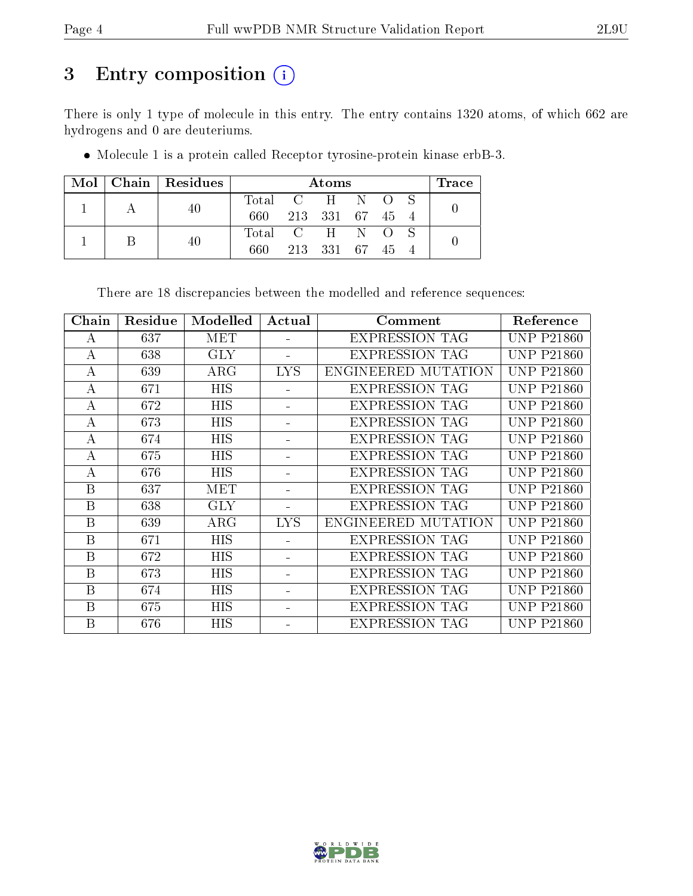# 3 Entry composition (i)

There is only 1 type of molecule in this entry. The entry contains 1320 atoms, of which 662 are hydrogens and 0 are deuteriums.

Molecule 1 is a protein called Receptor tyrosine-protein kinase erbB-3.

|  |  | $Mol$   Chain   Residues | Atoms           |            |            |     |                |  | $\operatorname{Trace}$ |
|--|--|--------------------------|-----------------|------------|------------|-----|----------------|--|------------------------|
|  |  |                          | Total C H N O S |            |            |     |                |  |                        |
|  |  | 660.                     |                 | 213 331 67 |            | -45 | $\overline{4}$ |  |                        |
|  |  |                          | Total C H N     |            |            |     | $\bigcap$      |  |                        |
|  |  |                          | 660             |            | 213 331 67 |     | 45             |  |                        |

There are 18 discrepancies between the modelled and reference sequences:

| Chain | Residue | Modelled   | Actual     | Comment               | Reference         |
|-------|---------|------------|------------|-----------------------|-------------------|
| A     | 637     | <b>MET</b> |            | <b>EXPRESSION TAG</b> | <b>UNP P21860</b> |
| А     | 638     | <b>GLY</b> |            | <b>EXPRESSION TAG</b> | <b>UNP P21860</b> |
| А     | 639     | $\rm{ARG}$ | <b>LYS</b> | ENGINEERED MUTATION   | <b>UNP P21860</b> |
| А     | 671     | <b>HIS</b> |            | <b>EXPRESSION TAG</b> | <b>UNP P21860</b> |
| А     | 672     | HIS        |            | <b>EXPRESSION TAG</b> | <b>UNP P21860</b> |
| А     | 673     | HIS        |            | <b>EXPRESSION TAG</b> | <b>UNP P21860</b> |
| А     | 674     | HIS        |            | <b>EXPRESSION TAG</b> | <b>UNP P21860</b> |
| А     | 675     | <b>HIS</b> |            | <b>EXPRESSION TAG</b> | <b>UNP P21860</b> |
| А     | 676     | HIS        |            | <b>EXPRESSION TAG</b> | <b>UNP P21860</b> |
| B     | 637     | MET        |            | <b>EXPRESSION TAG</b> | <b>UNP P21860</b> |
| B     | 638     | <b>GLY</b> |            | <b>EXPRESSION TAG</b> | <b>UNP P21860</b> |
| B     | 639     | $\rm{ARG}$ | <b>LYS</b> | ENGINEERED MUTATION   | <b>UNP P21860</b> |
| B     | 671     | HIS        |            | <b>EXPRESSION TAG</b> | <b>UNP P21860</b> |
| B     | 672     | HIS        |            | <b>EXPRESSION TAG</b> | <b>UNP P21860</b> |
| B     | 673     | HIS        |            | <b>EXPRESSION TAG</b> | <b>UNP P21860</b> |
| B     | 674     | HIS        |            | <b>EXPRESSION TAG</b> | <b>UNP P21860</b> |
| B     | 675     | <b>HIS</b> |            | <b>EXPRESSION TAG</b> | <b>UNP P21860</b> |
| B     | 676     | HIS        |            | <b>EXPRESSION TAG</b> | <b>UNP P21860</b> |

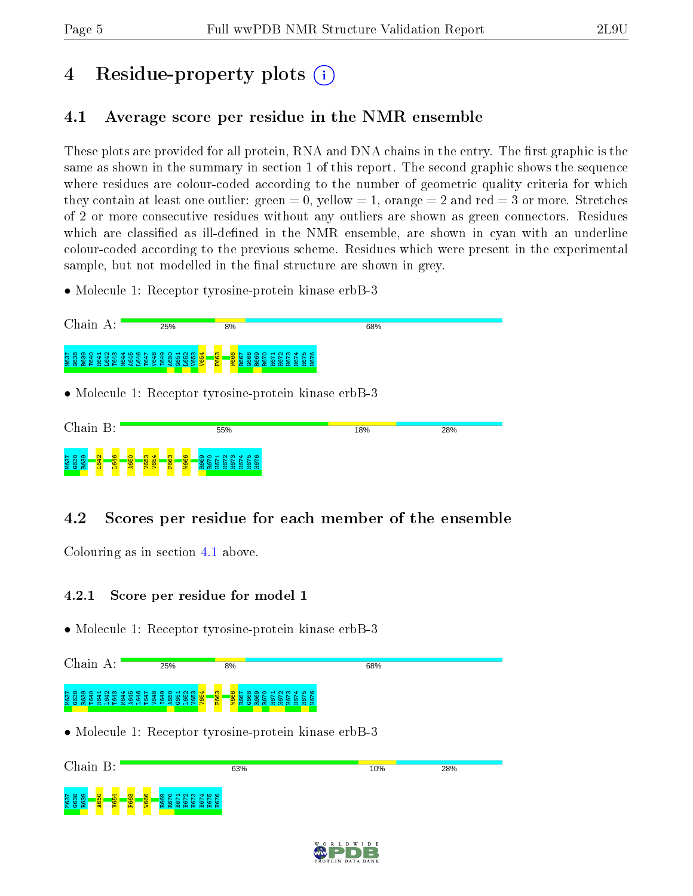# 4 Residue-property plots  $\binom{1}{1}$

# <span id="page-4-0"></span>4.1 Average score per residue in the NMR ensemble

These plots are provided for all protein, RNA and DNA chains in the entry. The first graphic is the same as shown in the summary in section 1 of this report. The second graphic shows the sequence where residues are colour-coded according to the number of geometric quality criteria for which they contain at least one outlier: green  $= 0$ , yellow  $= 1$ , orange  $= 2$  and red  $= 3$  or more. Stretches of 2 or more consecutive residues without any outliers are shown as green connectors. Residues which are classified as ill-defined in the NMR ensemble, are shown in cyan with an underline colour-coded according to the previous scheme. Residues which were present in the experimental sample, but not modelled in the final structure are shown in grey.

• Molecule 1: Receptor tyrosine-protein kinase erbB-3



# 4.2 Scores per residue for each member of the ensemble

Colouring as in section [4.1](#page-4-0) above.

### 4.2.1 Score per residue for model 1



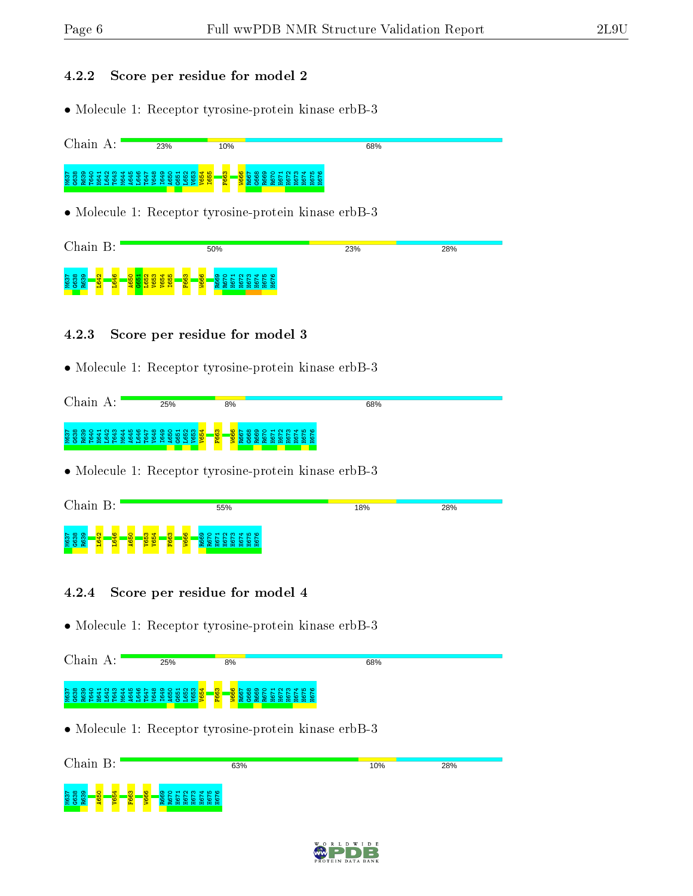#### 4.2.2 Score per residue for model 2

• Molecule 1: Receptor tyrosine-protein kinase erbB-3

| $Chain A$ : | 23%                                                                                                                                        | 10%                                                    | 68% |
|-------------|--------------------------------------------------------------------------------------------------------------------------------------------|--------------------------------------------------------|-----|
|             | និន្ទន សមាន និន្ទន សមាន និន្ទន និន្ទ<br>ខ្លួន ខ្លួន ភ្នំងន្ទន្ទន្ទន្ទ្រន្ទន្ទ្រន្ទ្រន្ទ្រា<br>រួម ខ្លួន ១ ភិក្ខុងន្ទ្រា ភិក្ខុងន្ទ្រា ប្លា | <b>868827227888</b><br><mark>តំ</mark> ង ដ ង ង ង ង ង ង |     |
|             |                                                                                                                                            | • Molecule 1: Receptor tyrosine-protein kinase erbB-3  |     |

| Chain<br>R٠                                                                           | 50%                                                                                                                                  | 23% | 28% |
|---------------------------------------------------------------------------------------|--------------------------------------------------------------------------------------------------------------------------------------|-----|-----|
| <b>1637</b><br>8638<br>889<br>$\mathbf{N}$<br>ਵਾਂ '<br>ıс<br>ᢦ<br><u>ິ</u><br>٥o<br>G | $\sigma$ to to<br>m<br><b>O</b><br>$\sim$<br>ന<br>-<br>ന<br><b>IO</b><br><b>O</b><br><b>O</b><br><b>PE</b><br>$\circ$<br>œ<br>m<br>m |     |     |

#### 4.2.3 Score per residue for model 3

• Molecule 1: Receptor tyrosine-protein kinase erbB-3

| ⌒'1.                                                                                  | 25%                                                                | 8%                                                                                                                                                                   | 68% |  |
|---------------------------------------------------------------------------------------|--------------------------------------------------------------------|----------------------------------------------------------------------------------------------------------------------------------------------------------------------|-----|--|
| √ ഥ<br>$\sim \infty$<br>$\sim$<br>ന<br>െ<br><b>163</b><br>C63<br>- 4<br>. .<br>.<br>− | ന<br>$\circ$<br><u>ന ಈ</u><br>$\circ$<br>ൈ<br>-<br>e۲<br><b>RO</b> | m <sub>s</sub><br>$\sigma$ to to<br><b>NM</b><br>െറ<br>$\infty$<br>$\mathbf{H}$<br>ຕ<br>$8^{\circ}$<br>$\sim$<br>m<br>œ<br><b>Dra</b><br>. .<br><b>COL</b><br>œ<br>. |     |  |

• Molecule 1: Receptor tyrosine-protein kinase erbB-3

| Chain                |               | R٠             |                       |                               |           |                                        | 55%                                                                     | 18% | 28% |
|----------------------|---------------|----------------|-----------------------|-------------------------------|-----------|----------------------------------------|-------------------------------------------------------------------------|-----|-----|
| M637<br>G638<br>R639 | $\frac{4}{3}$ | $\overline{ }$ | $\bullet$<br><b>a</b> | S<br>₩<br>$\frac{1}{8}$<br>ь. | 663<br>b. | <b>O</b><br>$\frac{1}{66}$<br><b>D</b> | $\circ$ $\cdot$<br>െ<br>œ<br>in in<br>൹<br>$\sim$<br><b>AAAAAA</b><br>œ |     |     |

- 4.2.4 Score per residue for model 4
- Molecule 1: Receptor tyrosine-protein kinase erbB-3

| hain                                                                                            | 25%                                                                                                                                                                                                                        | 8%                                                                                                                                                                 | 68% |
|-------------------------------------------------------------------------------------------------|----------------------------------------------------------------------------------------------------------------------------------------------------------------------------------------------------------------------------|--------------------------------------------------------------------------------------------------------------------------------------------------------------------|-----|
| $\sim \infty$<br>$\rightarrow$<br><u>ത</u> ത<br>÷<br>₩<br>. ett<br>$\mathcal{F}$ is $\alpha$ in | O O H N M T L O L Q O O H<br><u>രത്തി</u><br>ਦਿ<br>÷<br>æ<br>$-$<br>$\mathbf{H}$<br>ഥ<br><u> מו מו</u><br>. HI<br>ю<br>ഥ<br>ີຕິ<br>ൟ<br>$\circ$<br>$\sim$<br>æ<br>ິ<br><b>H 2 4 J H 5 H 4</b><br><b>COL</b><br>- -<br>تسمي | <b>ONDOUNOTO</b><br>ത<br>$\circ$<br>۰œ<br>m<br>~<br>È<br>-<br><b>O</b><br>$\sim$<br>m<br>$\sim$<br>m<br>.<br>Dr.<br><b>STEP</b><br>െ ഷ<br>œ<br>- 65<br><b>COLL</b> |     |

| Chain B:                                                                             | 63%                                                        | 10% | 28% |
|--------------------------------------------------------------------------------------|------------------------------------------------------------|-----|-----|
| <b>V654</b><br>88<br>88<br>28<br>28<br>F663<br><b>A650</b><br><b>B</b> <sub>50</sub> | $00 - 000$<br>ဖ<br>-<br>-<br>-<br>∼<br>88888<br>/ 留<br>မ္ထ |     |     |

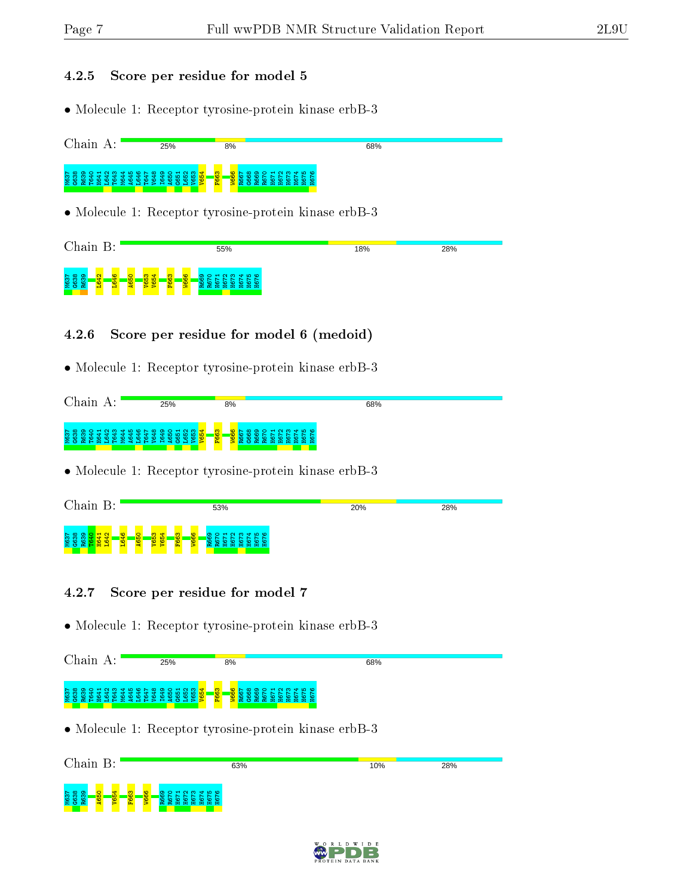#### 4.2.5 Score per residue for model 5

• Molecule 1: Receptor tyrosine-protein kinase erbB-3

| Chain A:                                                                           | 25%<br>8%                                                | 68% |     |
|------------------------------------------------------------------------------------|----------------------------------------------------------|-----|-----|
| ត្តទី ក្នុង ក្នុង ក្នុង ក្នុង ក្នុង<br>ខេន្តទី ក្នុង ក្នុង ក្នុង ក្នុង ក្នុង ក្នុង |                                                          |     |     |
|                                                                                    | • Molecule 1: Receptor tyrosine-protein kinase erbB-3    |     |     |
| Chain B:                                                                           | 55%                                                      | 18% | 28% |
|                                                                                    |                                                          |     |     |
| 4.2.6                                                                              | Score per residue for model 6 (medoid)                   |     |     |
|                                                                                    | • Molecule 1: Receptor tyrosine-protein kinase erbB-3    |     |     |
| Chain A:                                                                           | 25%<br>8%                                                | 68% |     |
| 383<br>883<br>1941<br>1942                                                         | 1643<br>1644 845<br>1644 846 850 861<br>1644 845 860 861 |     |     |
|                                                                                    | • Molecule 1: Receptor tyrosine-protein kinase erbB-3    |     |     |
| Chain B:                                                                           | 53%                                                      | 20% | 28% |
|                                                                                    | R670<br>H671<br>H672<br>195<br>195<br>195                |     |     |
| 4.2.7                                                                              | Score per residue for model 7                            |     |     |
|                                                                                    | • Molecule 1: Receptor tyrosine-protein kinase erbB-3    |     |     |
| Chain A:                                                                           | 25%<br>8%                                                | 68% |     |
| हैं से से<br>इन्हें                                                                |                                                          |     |     |

• Molecule 1: Receptor tyrosine-protein kinase erbB-3

| Chain B:                                                                                              | 63%                                                       | 10% | 28% |
|-------------------------------------------------------------------------------------------------------|-----------------------------------------------------------|-----|-----|
| $\frac{1}{2}$<br><b>1637</b><br>8638<br>889<br>$8 -$<br>F663<br>$8^{\circ}$<br>g<br>9<br>$\mathbf{g}$ | $\sigma$ and<br>$\sim$<br>ന<br>$00$ $-$<br>엺<br><b>CO</b> |     |     |



÷,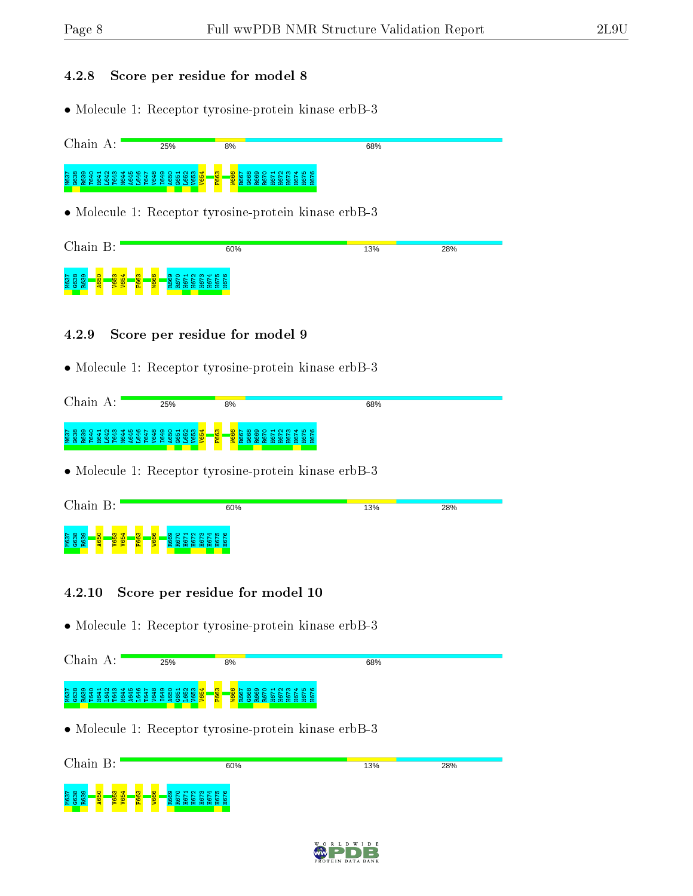#### 4.2.8 Score per residue for model 8

• Molecule 1: Receptor tyrosine-protein kinase erbB-3

| Chain A:                                          | 25%                                                                                                   | 8%                                                                                                                                                     | 68% |
|---------------------------------------------------|-------------------------------------------------------------------------------------------------------|--------------------------------------------------------------------------------------------------------------------------------------------------------|-----|
| H641<br>L642<br>৯ ଛ ଛ ୫<br>ႜႍၒႍ<br>န္ထ<br>옾<br>-8 | ന<br><b>A650</b><br>15<br>5<br>195<br>195<br>195<br>I649<br>- io<br>္ထိ<br>$\sim$<br><b>CO</b><br>မွှ | $\frac{3}{2}$<br>⊣ ഹ ശ<br>$\infty$<br>$\sim$<br>്<br>െ<br>m<br>¢<br>$\sim$<br>စ<br>œ<br>图<br>ρą<br>留<br>溫<br>留<br>요<br>£Θ<br>్టి<br>ខ្ល<br>留<br>邕<br>알 |     |

• Molecule 1: Receptor tyrosine-protein kinase erbB-3

| Chain<br>ĸ٠                                                                                |                            |     |     |
|--------------------------------------------------------------------------------------------|----------------------------|-----|-----|
|                                                                                            | 60%                        | 13% | 28% |
|                                                                                            |                            |     |     |
| <b>SC</b><br>m                                                                             | o o<br><b>Service</b><br>m |     |     |
| 8<br>1637<br>C638<br>R639<br>$S_1$<br>P.<br><b>io</b> l<br><b>DO</b><br>¢<br>ö.<br>$\circ$ |                            |     |     |
| g<br>留<br>æ                                                                                |                            |     |     |

#### 4.2.9 Score per residue for model 9

• Molecule 1: Receptor tyrosine-protein kinase erbB-3

| $\sim$<br>л.                                                                                  | 25%                                                                                                                                        | 8%                                                                                                                                                                                                              | 68% |  |
|-----------------------------------------------------------------------------------------------|--------------------------------------------------------------------------------------------------------------------------------------------|-----------------------------------------------------------------------------------------------------------------------------------------------------------------------------------------------------------------|-----|--|
| N637<br>C638<br>R639<br>ന ക ര<br>$\mathbf{H}$ $\mathbf{N}$<br>$\circ$<br>ᆔ<br>- 2<br>- -<br>. | <u>രത്തി</u><br>$\circ$<br>$\circ$ $\sim$ $\infty$<br>ਾਜ<br>െ<br>$\sim$<br>-10.<br><u> ന ന</u><br>חו<br><b>COLOR</b><br>æ<br>H > H<br>- 44 | m <sub>s</sub><br>$\sigma$ and $\sigma$<br>ာ ဝ<br>$-100$<br><b>∞</b><br>$\sim$<br>$8^{\circ}$<br>$\sim$<br>m<br>æ<br>$\sim$<br>$\sim$<br>1999<br>b.<br><b>COL</b><br><b>COLUM</b><br>œ<br>. .<br>.<br>œ<br>40 J |     |  |

• Molecule 1: Receptor tyrosine-protein kinase erbB-3

| Chain<br>p.                                                                                                                                  | 60%                                                                                         | 13% | 28% |
|----------------------------------------------------------------------------------------------------------------------------------------------|---------------------------------------------------------------------------------------------|-----|-----|
| ത<br>M637<br>G638<br>R639<br>650<br>$\omega$ 4<br>$\overline{8}$<br><mark>္ဘ</mark> ္က ဗု<br><b>CO</b><br>a<br><b>Page</b><br><b>Section</b> | - <del>et</del> t<br>െ സ<br>ം വ<br>$\sigma$ o $\tau$<br><b>O</b><br><b>SS</b><br>ь<br>æ<br> |     |     |

#### 4.2.10 Score per residue for model 10

• Molecule 1: Receptor tyrosine-protein kinase erbB-3

| hain                                                                                                                    | 25%                                                                                                                                            | 8%                                                                                                                                                                                                 | 68% |
|-------------------------------------------------------------------------------------------------------------------------|------------------------------------------------------------------------------------------------------------------------------------------------|----------------------------------------------------------------------------------------------------------------------------------------------------------------------------------------------------|-----|
|                                                                                                                         |                                                                                                                                                |                                                                                                                                                                                                    |     |
|                                                                                                                         |                                                                                                                                                |                                                                                                                                                                                                    |     |
| ÷<br>- 64<br>ਾਵਾਂ<br>÷<br>- 11<br>ິ<br><b>H</b> 27 of<br>1979<br>$\mathcal{F}$ is $\mathcal{F}$ in $\mathcal{F}$<br>تسم | ÷<br>÷<br>÷.<br>∕ <del>d</del><br>ഥ<br>÷<br><u> က</u><br><u> ယ ယ</u><br>൹<br>൹<br>$\omega$<br>$\infty$<br>൹<br>. <i>.</i><br>الله ۱۳۹<br>- - - | <sub>co</sub><br><b>CON</b><br>8 <sup>o</sup><br>∞<br>۰œ۰<br>~<br>~<br>~<br>m.<br>$\sim$<br>$\sim$<br>$\sim$<br>- 69<br>a ma<br><b>BEL BEL</b><br><b>Draw</b><br>ട്ട് ക<br>1979<br>œ<br><b>COL</b> |     |

| Chain<br>$\rm B$ :                                                                                                           | 60%                                                                                                    | 13% | 28% |
|------------------------------------------------------------------------------------------------------------------------------|--------------------------------------------------------------------------------------------------------|-----|-----|
| 1637<br>1638<br>1639<br>$m +$<br><mark>-8</mark><br><b>A650</b><br><b>O</b><br><u>10101</u><br>¢<br>g<br>g<br>留<br><u>يو</u> | $\omega$ $\omega$<br>$\sim$<br>ന<br>$\overline{\phantom{a}}$<br>$\circ$<br>≂.<br>െ<br>ິ<br>留<br>留<br>œ |     |     |

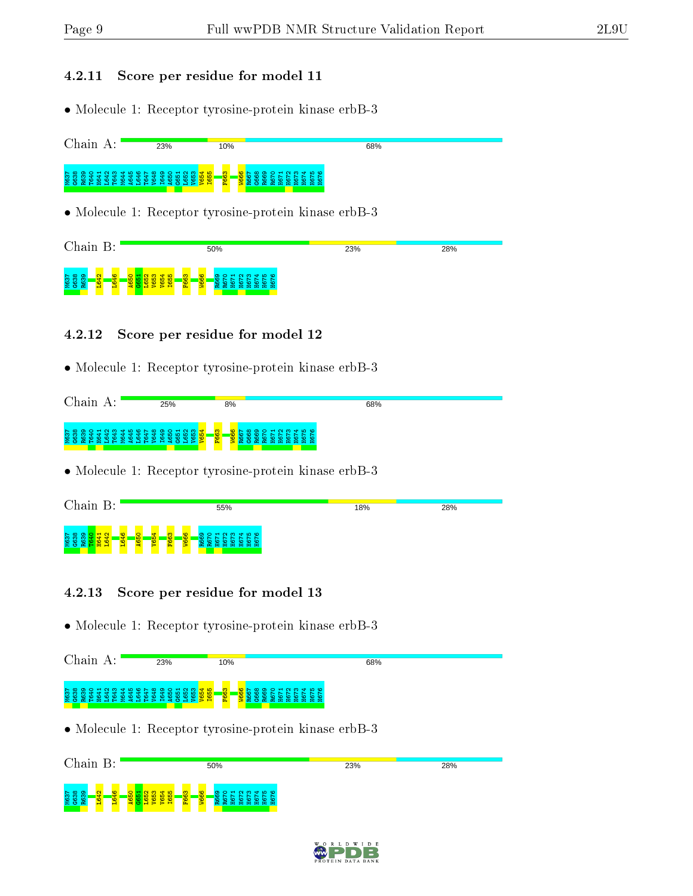#### 4.2.11 Score per residue for model 11

• Molecule 1: Receptor tyrosine-protein kinase erbB-3

| Chain A: | 23% | 10%                                                   | 68% |     |
|----------|-----|-------------------------------------------------------|-----|-----|
|          |     |                                                       |     |     |
|          |     | • Molecule 1: Receptor tyrosine-protein kinase erbB-3 |     |     |
| Chain B: | 50% |                                                       | 23% | 28% |

#### <mark>용 - 8</mark><br>888 - 888<br>288 <mark>8 원 - 8</mark> A650  $651$ L652 V653 V654 I655 F663 W666 R669 R670 H672<br>H673<br>H673<br>H673

#### 4.2.12 Score per residue for model 12

• Molecule 1: Receptor tyrosine-protein kinase erbB-3

| MТ.                                           | 25%                                                          | 8%                                                                                       | 68%       |  |
|-----------------------------------------------|--------------------------------------------------------------|------------------------------------------------------------------------------------------|-----------|--|
| N637<br>C638<br>R639<br>₩<br>$\sim$<br>ന<br>ᆊ | $\sim$<br><u>ന്</u><br>e۲<br>÷<br>חו<br>ം പ<br>-<br>חו<br>്റ | ത<br>െ െ<br>$\mathbf{H}$ $\mathbf{N}$<br>$\infty$<br>$\sim$<br>8 <sup>o</sup><br>ິ<br>E. | ေက ႕ျက္ က |  |

• Molecule 1: Receptor tyrosine-protein kinase erbB-3

| Chain<br>R٠                                                                                    | 55%                                                                                                                                  | 18% | 28% |
|------------------------------------------------------------------------------------------------|--------------------------------------------------------------------------------------------------------------------------------------|-----|-----|
| $\circ$<br>õ<br>$\sim$<br>₩<br>M637<br>G638<br>홌<br>$\frac{1}{100}$<br> 없 <br>æ<br>ഫ<br>E<br>- | ത<br>$H \cap H$<br><b>O</b><br>$\circ$<br>$\frac{1}{100}$<br>$\overline{\text{6}}$<br>æ<br>÷.<br>E.<br>÷<br>ш<br>- 55<br>ш<br>軍<br>ю |     |     |

#### 4.2.13 Score per residue for model 13

| Chain A:<br>23%                                                                            | 10%                                    | 68% |  |
|--------------------------------------------------------------------------------------------|----------------------------------------|-----|--|
| <b>888</b><br><u>ន្ទ្រីទីទីត្តទីន្ទ្រីទីទីទីទីទីទីទី</u><br><b>SS</b><br>$\ddot{\epsilon}$ | <mark>663</mark><br>റത്ത മര<br>ິ<br>B. |     |  |
| • Molecule 1: Receptor tyrosine-protein kinase erbB-3                                      |                                        |     |  |



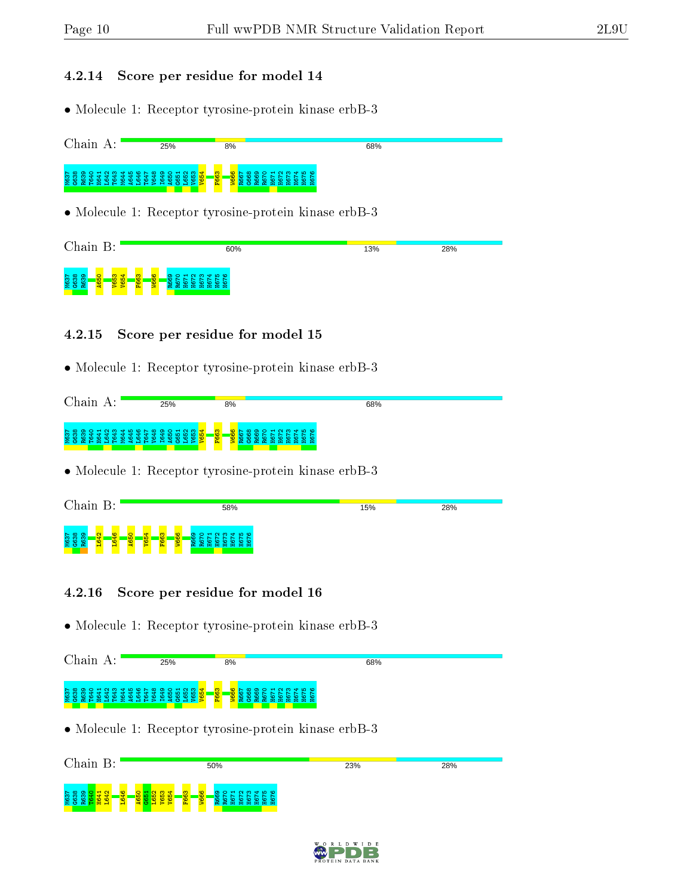#### 4.2.14 Score per residue for model 14

• Molecule 1: Receptor tyrosine-protein kinase erbB-3

| Chain A: | 25% | 8%                                                    | 68% |     |
|----------|-----|-------------------------------------------------------|-----|-----|
|          |     | E <mark>es</mark>                                     |     |     |
|          |     | • Molecule 1: Receptor tyrosine-protein kinase erbB-3 |     |     |
| Chain B: |     | 60%                                                   | 13% | 28% |

#### <mark>ន្ធ ន</mark><br>ទី <mark>នី នី នី</mark><br>កំពុ<mark>ង</mark> V654 F663 W666 R669 R670 H671 H672 H673 H674 H675 H676

#### 4.2.15 Score per residue for model 15

• Molecule 1: Receptor tyrosine-protein kinase erbB-3

| $\sim$ 1                                           | 25%                                                                                      | 8%                                                                                                 | 68% |  |
|----------------------------------------------------|------------------------------------------------------------------------------------------|----------------------------------------------------------------------------------------------------|-----|--|
| ന ക ന<br>M637<br>G638<br>R639<br>T641<br>L642<br>ൟ | $\sim$ $\sim$<br>ത<br>e vet i<br><b>R</b><br>∼<br>$\sim$<br>$\sim$<br>$\sim$<br>ഹ<br>ιю. | ത<br>$\sigma$ $\sigma$<br>$\mathbf{H}$ $\mathbf{N}$<br>ന .<br><u>െറ</u><br>$\infty$<br>$8^{\circ}$ |     |  |

• Molecule 1: Receptor tyrosine-protein kinase erbB-3

| Chain<br>$\mathbf D$ .                                         |                                                              | 58%                                                                                             | 15% | 28% |
|----------------------------------------------------------------|--------------------------------------------------------------|-------------------------------------------------------------------------------------------------|-----|-----|
| M637<br>G638<br>R639<br>$\overline{a}$<br>$\overline{ }$<br>·없 | <b>m</b><br>¢<br><b>  8 </b><br>$8^{\circ}$<br>$\circ$<br>P4 | $-0.0$<br>ന<br>$\circ$<br>$\overline{\phantom{a}}$<br>്പ<br>$\sim$<br>œ.<br>(重量)<br>軍<br>E<br>로 |     |     |

#### 4.2.16 Score per residue for model 16

ಹ 8 8 <mark>8 9 4 5</mark><br>8 8 9 <mark>8 4 4 5</mark><br>8 8 9 <mark>8 4 4 5</mark>

L646 A650  $651$ L652 V653 V654 F663 W666 R669 R670 H671 H672 H673 H674 H675 H676

• Molecule 1: Receptor tyrosine-protein kinase erbB-3

| Chain A:     |   | 25%                                                                                                                                 | 8%                                                    | 68% |     |
|--------------|---|-------------------------------------------------------------------------------------------------------------------------------------|-------------------------------------------------------|-----|-----|
| M637<br>C638 | ഥ | $\circ$ $\sim$ $\circ$ $\circ$<br>് ന<br>⊶<br>i ge a ga ga ga ga ga ga ga ga g <mark>ig</mark><br>i ga ga ga ga ga ga ga ga ga ga g | m.<br><b>ON COOCH COO</b><br>F66<br>88<br>Rec<br>22 A |     |     |
|              |   |                                                                                                                                     | • Molecule 1: Receptor tyrosine-protein kinase erbB-3 |     |     |
| Chain B:     |   |                                                                                                                                     | 50%                                                   | 23% | 28% |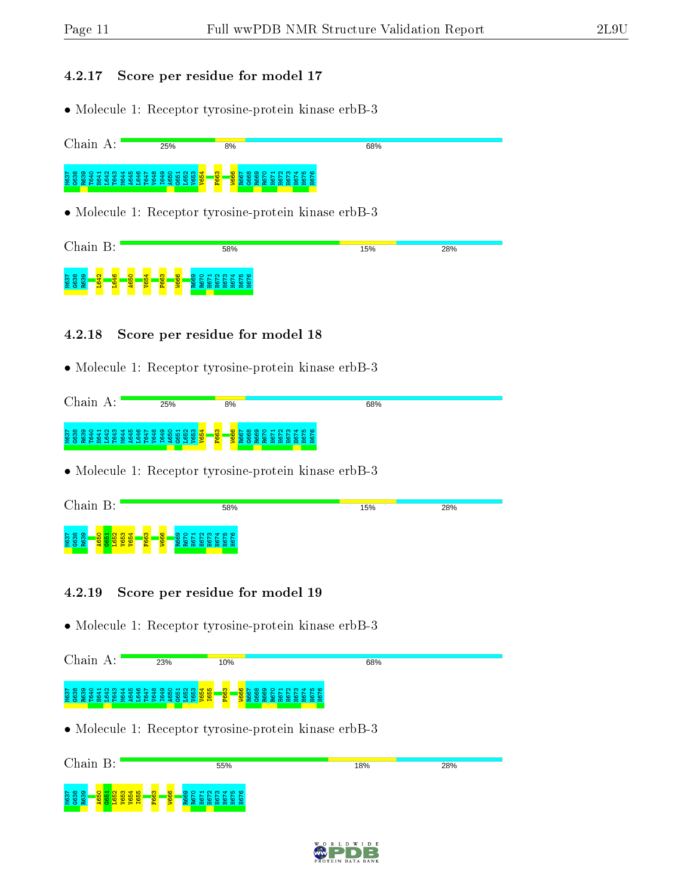#### 4.2.17 Score per residue for model 17

• Molecule 1: Receptor tyrosine-protein kinase erbB-3

| Chain A:                                                                       | 25%                                                                                                    | 8%                                                                                                                                                                            | 68% |
|--------------------------------------------------------------------------------|--------------------------------------------------------------------------------------------------------|-------------------------------------------------------------------------------------------------------------------------------------------------------------------------------|-----|
| <b>88</b><br>੩<br>₩<br>ਚਾਂ<br>ਚਾ<br>÷<br>e.<br>999<br>88<br>g.<br>圈<br>္ထ<br>옾 | <u> 않않</u><br><b>S</b><br>룹<br>န္တ<br>앟<br>அ<br>¥<br>G<br>೪ ೪<br>္ထ<br>2<br>99<br>8<br>$\circ$ $\circ$ | $\frac{3}{6}$<br>$\infty$<br>- ਚਾ<br>ഗ ശ<br>$\sigma$<br>⌒<br>$\pm$<br>$\sim$<br>ത<br>$\circ$<br>~<br>¢<br>ρą<br>留<br>曽<br>留<br>留<br>£Θ<br>留<br>ၛၟ<br><u>يو</u><br>æ<br>æ<br>æ |     |
| .<br>the contract of the contract of the                                       | $\overline{\phantom{a}}$                                                                               | .<br>the contract of the contract of the contract of the contract of the contract of the contract of the contract of<br>$\sim$                                                | .   |

• Molecule 1: Receptor tyrosine-protein kinase erbB-3

| Chain                |   | ᇋ.                 |                  |    |                        |                    | 58%                                       | 15% | 28% |
|----------------------|---|--------------------|------------------|----|------------------------|--------------------|-------------------------------------------|-----|-----|
|                      |   |                    |                  |    |                        |                    |                                           |     |     |
| N637<br>C638<br>R639 | ₩ | <b>T</b><br>$\sim$ | 0<br>ு<br>$\sim$ | 54 | <u>ී ස</u><br><b>P</b> | ¢<br><b>O</b><br>Ø | <u> ഗ</u> ഗ<br>÷<br>m<br>旨<br>噐<br>邕<br>е |     |     |

#### 4.2.18 Score per residue for model 18

• Molecule 1: Receptor tyrosine-protein kinase erbB-3

| $\sim$<br>л. | 25% | 8%                                                                                                               | 68%       |  |
|--------------|-----|------------------------------------------------------------------------------------------------------------------|-----------|--|
|              |     | ത<br><b>OOHNM456</b><br><b>∞</b><br><b>CON</b><br>$8^{\circ}$<br>b.<br>œ<br>œ<br><b>COL</b><br>- 33<br>a sa<br>æ | <b>PO</b> |  |

• Molecule 1: Receptor tyrosine-protein kinase erbB-3

| Chain<br>B:                                                                                                                     | 58%                                                                                                                                   | 15% | 28% |
|---------------------------------------------------------------------------------------------------------------------------------|---------------------------------------------------------------------------------------------------------------------------------------|-----|-----|
| M637<br>G638<br>R639<br>F663<br>ന<br>₩<br>$\sim$ $-$<br>$\sim$<br><u> က</u> က<br>8<br><b>B</b><br>꼶<br>œ.<br>$\Rightarrow$<br>- | <b>O</b><br>1 N M <del>4</del> 10 10<br>$\Omega$ $\Omega$ $\overline{H}$<br>$\frac{1}{66}$<br>۰œ<br>÷<br>画<br>÷<br>ш<br>--<br>囯<br>., |     |     |

#### 4.2.19 Score per residue for model 19

• Molecule 1: Receptor tyrosine-protein kinase erbB-3

| Chain A: | 23%                                                                                                                  | 10%                                                                                              | 68%           |
|----------|----------------------------------------------------------------------------------------------------------------------|--------------------------------------------------------------------------------------------------|---------------|
|          |                                                                                                                      | ത<br><b>ONBOOTNET</b><br><b>O</b><br>$\omega$ $\omega$<br><b>TO</b><br><b>Dr.</b><br><b>B</b> of |               |
| .        | .<br>the contract of the contract of the contract of the contract of the contract of the contract of the contract of | .<br>$\sim$ $\sim$ $\sim$ $\sim$                                                                 | $\sim$ $\sim$ |

| Chain B:                                                                                                                                                                                               | 55%                                                                                                                               | 18% | 28% |
|--------------------------------------------------------------------------------------------------------------------------------------------------------------------------------------------------------|-----------------------------------------------------------------------------------------------------------------------------------|-----|-----|
| <b>1637</b><br>8638<br>889<br>$\mathbf{e}$<br><u>ത</u><br>$\sim$<br><b>PH</b> P<br>$\sim$ $\sim$<br>v <sub>65</sub><br><mark>ទី ទី</mark><br>iō io<br>v <sub>65</sub><br>$\mathbf{S}$<br>$\frac{8}{5}$ | $8^{\circ}$<br>$\sigma$ and $\sigma$<br>്ന<br>$\circ$ $\cdot$<br>$\sim$<br>െ<br>ဖ<br>9<br>留<br>畠<br>留<br>- 음 음<br>ူမှု<br>c<br>φ. |     |     |

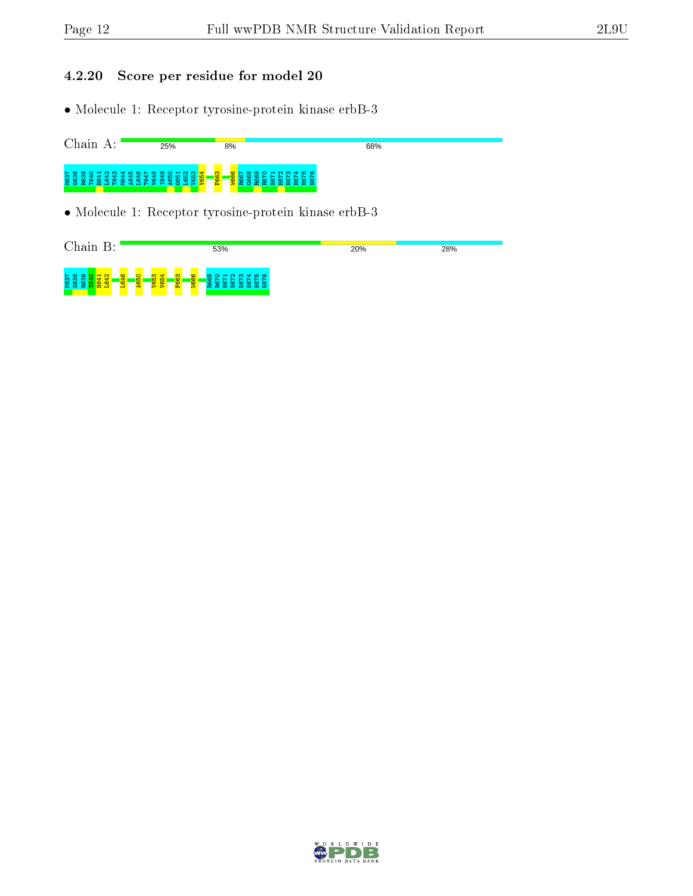#### 4.2.20 Score per residue for model 20

• Molecule 1: Receptor tyrosine-protein kinase erbB-3

Chain A: 25%  $8%$ 68% **838 SEB 384**<br>2008 SEB 384<br>2009 SEB 34 L646 T647 V648 I649 A650 G651 L652 V653 V654 F663 <mark>ଜ୍ଞର</mark>େ 868<br>8672<br>868 H674<br>868 H674<br>868

• Molecule 1: Receptor tyrosine-protein kinase erbB-3

Chain B: 53% 20% **28%** 8637<br>T638 L646 A650 V653 V654 F663 W666 86<br>BCZ 22<br>BCZ 22 34<br>BCZ 34<br>BCZ 34

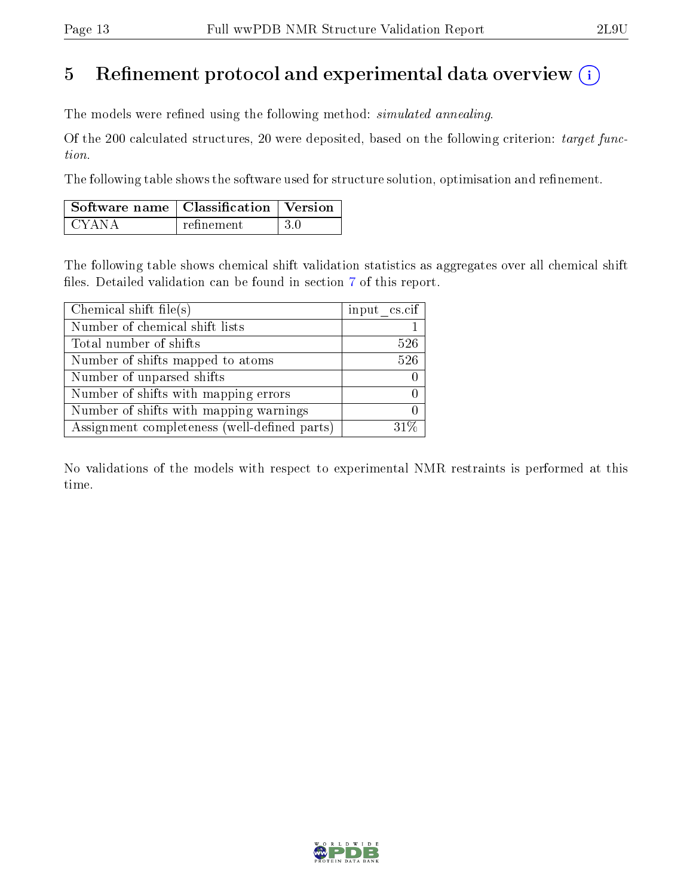# 5 Refinement protocol and experimental data overview  $\binom{1}{k}$

The models were refined using the following method: *simulated annealing*.

Of the 200 calculated structures, 20 were deposited, based on the following criterion: target function.

The following table shows the software used for structure solution, optimisation and refinement.

| $\mid$ Software name $\mid$ Classification $\mid$ Version $\mid$ |            |      |
|------------------------------------------------------------------|------------|------|
| L CYANA                                                          | refinement | -3 Q |

The following table shows chemical shift validation statistics as aggregates over all chemical shift files. Detailed validation can be found in section [7](#page-16-0) of this report.

| Chemical shift file(s)                       | input cs.cif |
|----------------------------------------------|--------------|
| Number of chemical shift lists               |              |
| Total number of shifts                       | 526          |
| Number of shifts mapped to atoms             | 526          |
| Number of unparsed shifts                    |              |
| Number of shifts with mapping errors         |              |
| Number of shifts with mapping warnings       |              |
| Assignment completeness (well-defined parts) |              |

No validations of the models with respect to experimental NMR restraints is performed at this time.

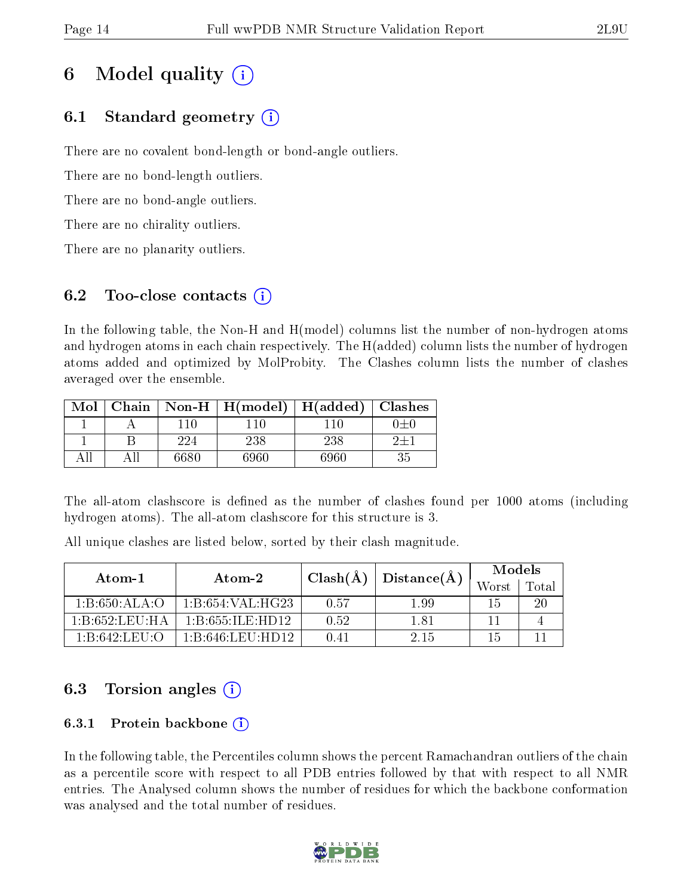# 6 Model quality  $(i)$

# 6.1 Standard geometry  $(i)$

There are no covalent bond-length or bond-angle outliers.

There are no bond-length outliers.

There are no bond-angle outliers.

There are no chirality outliers.

There are no planarity outliers.

# 6.2 Too-close contacts  $(i)$

In the following table, the Non-H and H(model) columns list the number of non-hydrogen atoms and hydrogen atoms in each chain respectively. The H(added) column lists the number of hydrogen atoms added and optimized by MolProbity. The Clashes column lists the number of clashes averaged over the ensemble.

| Mol |      | Chain   Non-H   $H(model)$   $H(added)$   Clashes |      |    |
|-----|------|---------------------------------------------------|------|----|
|     | 110  |                                                   |      |    |
|     | 224  | 238                                               | 238  |    |
|     | 6680 | 6960                                              | 6960 | 35 |

The all-atom clashscore is defined as the number of clashes found per 1000 atoms (including hydrogen atoms). The all-atom clashscore for this structure is 3.

All unique clashes are listed below, sorted by their clash magnitude.

| Atom-1                                    | Atom-2                              | $Clash(\AA)$ | Distance(A) | Models |       |
|-------------------------------------------|-------------------------------------|--------------|-------------|--------|-------|
|                                           |                                     |              |             | Worst  | Total |
| 1.B.650 ALA                               | 1:B:654:VAL:HG23                    | 0.57         | 1.99        | 15     | 20    |
| $1 \cdot B \cdot 652 \cdot L \cdot H$ $A$ | 1 B 655 IL E HD12.                  | 0.52         | 1.81        |        |       |
| 1.B.642 LEU O                             | $1: B:646: \text{LEU}: \text{HD}12$ | 0.41         | 2.15        | 15     |       |

# 6.3 Torsion angles  $(i)$

#### 6.3.1 Protein backbone (i)

In the following table, the Percentiles column shows the percent Ramachandran outliers of the chain as a percentile score with respect to all PDB entries followed by that with respect to all NMR entries. The Analysed column shows the number of residues for which the backbone conformation was analysed and the total number of residues.

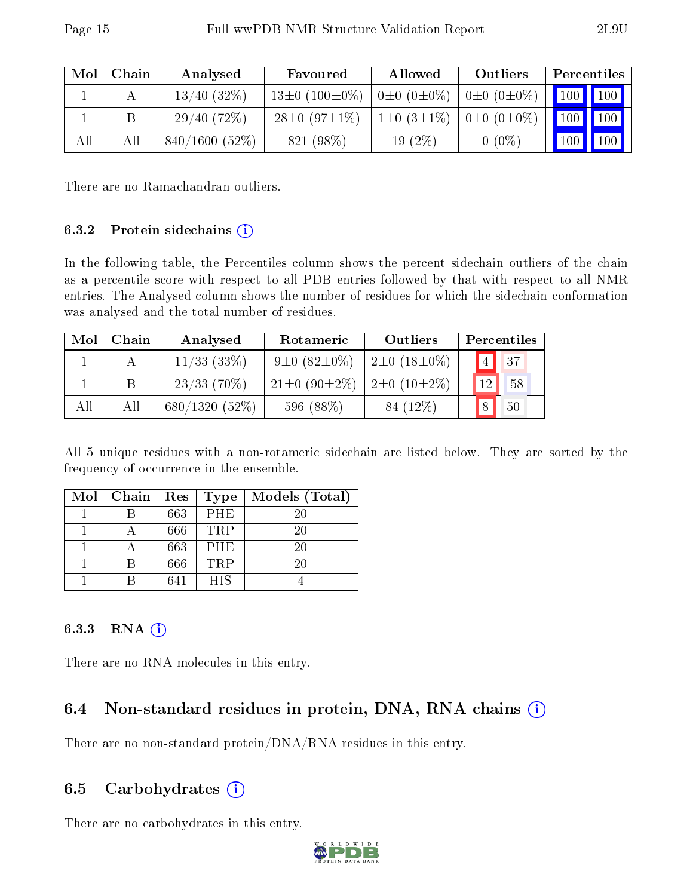| Mol | Chain | Analysed         | Favoured                                                                   | Allowed                                 | Outliers | Percentiles                  |                     |
|-----|-------|------------------|----------------------------------------------------------------------------|-----------------------------------------|----------|------------------------------|---------------------|
|     |       | $13/40$ $(32\%)$ | $13\pm0$ (100 $\pm0\%$ )   0 $\pm0$ (0 $\pm0\%$ )   0 $\pm0$ (0 $\pm0\%$ ) |                                         |          | $\mid$ 100 $\mid$ 100 $\mid$ |                     |
|     |       | 29/40(72%)       | $28\pm0$ (97 $\pm1\%$ )                                                    | $1\pm0$ $(3\pm1\%)$ $0\pm0$ $(0\pm0\%)$ |          | $\vert$ 100 $\vert$ $\vert$  | $\vert$ 100 $\vert$ |
| All | All   | 840/1600(52%)    | 821 (98%)                                                                  | $19(2\%)$                               | $0(0\%)$ | 100 <sub>1</sub>             | 100                 |

There are no Ramachandran outliers.

#### 6.3.2 Protein sidechains  $\hat{1}$

In the following table, the Percentiles column shows the percent sidechain outliers of the chain as a percentile score with respect to all PDB entries followed by that with respect to all NMR entries. The Analysed column shows the number of residues for which the sidechain conformation was analysed and the total number of residues.

| Mol | Chain | Analysed         | Rotameric            | Outliers                 | Percentiles           |  |
|-----|-------|------------------|----------------------|--------------------------|-----------------------|--|
|     |       | $11/33$ (33\%)   | $9\pm0$ $(82\pm0\%)$ | $2\pm0$ (18 $\pm0\%$ )   | $\vert$ 37            |  |
|     | B     | $23/33$ (70\%)   | $21\pm0.90\pm2\%$    | $2\pm 0$ (10 $\pm 2\%$ ) | 12 <sub>1</sub><br>58 |  |
| All | Аll   | $680/1320(52\%)$ | 596 (88%)            | 84 (12%)                 | 50                    |  |

All 5 unique residues with a non-rotameric sidechain are listed below. They are sorted by the frequency of occurrence in the ensemble.

| Mol | Chain | Res | Type       | Models (Total) |
|-----|-------|-----|------------|----------------|
|     |       | 663 | <b>PHE</b> | 20             |
|     |       | 666 | <b>TRP</b> | 20             |
|     |       | 663 | <b>PHE</b> | 20             |
|     |       | 666 | <b>TRP</b> | 20             |
|     |       | 641 | <b>HIS</b> |                |

#### 6.3.3 RNA  $(i)$

There are no RNA molecules in this entry.

### 6.4 Non-standard residues in protein, DNA, RNA chains (i)

There are no non-standard protein/DNA/RNA residues in this entry.

#### 6.5 Carbohydrates  $(i)$

There are no carbohydrates in this entry.

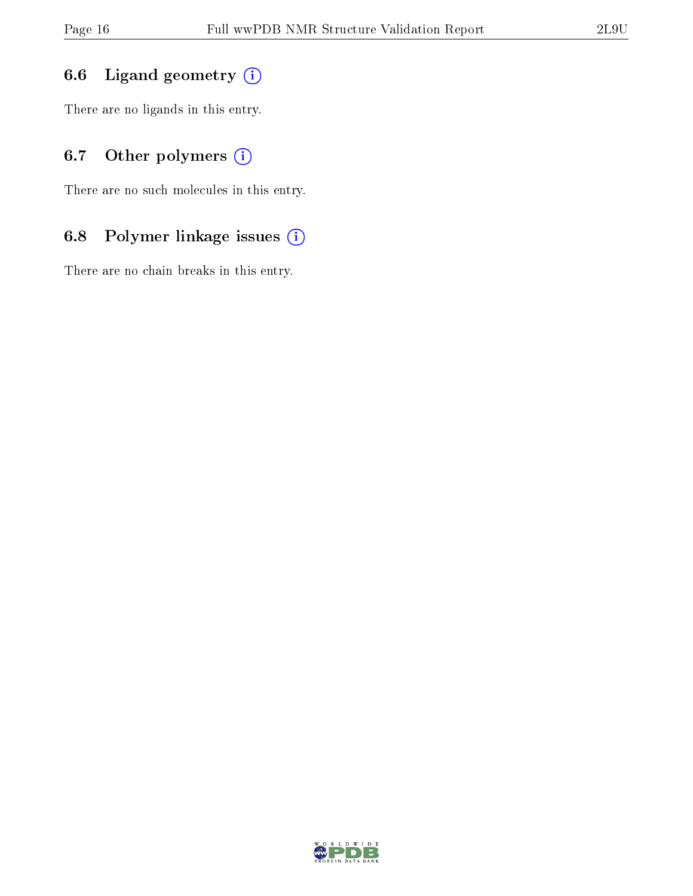# 6.6 Ligand geometry  $(i)$

There are no ligands in this entry.

# 6.7 [O](https://www.wwpdb.org/validation/2017/NMRValidationReportHelp#nonstandard_residues_and_ligands)ther polymers (i)

There are no such molecules in this entry.

# 6.8 Polymer linkage issues (i)

There are no chain breaks in this entry.

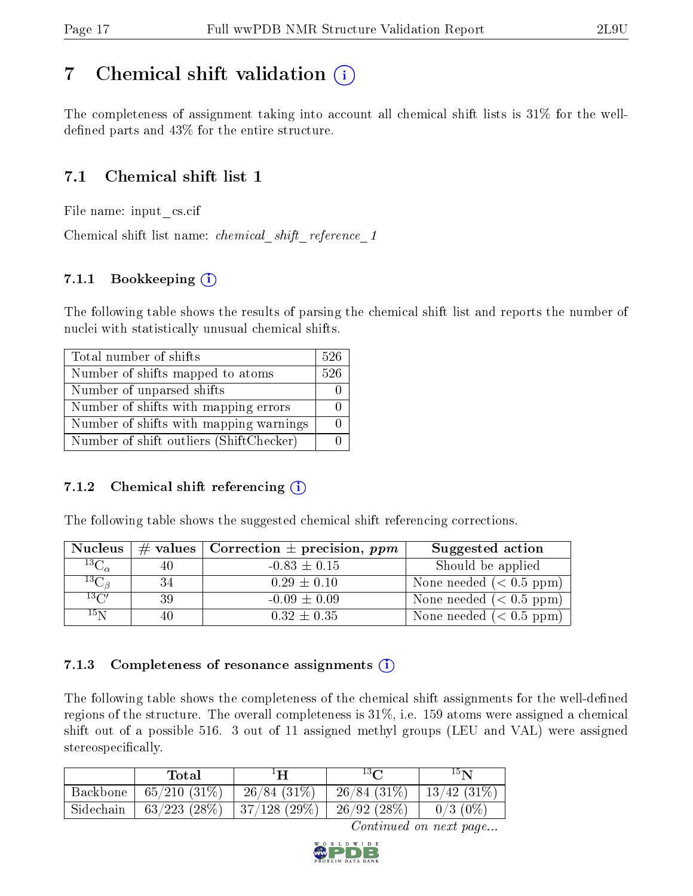# <span id="page-16-0"></span>7 Chemical shift validation  $\left( \begin{array}{c} \overline{1} \end{array} \right)$

The completeness of assignment taking into account all chemical shift lists is 31% for the welldefined parts and  $43\%$  for the entire structure.

# 7.1 Chemical shift list 1

File name: input\_cs.cif

Chemical shift list name: *chemical\_shift\_reference\_1* 

### 7.1.1 Bookkeeping (i)

The following table shows the results of parsing the chemical shift list and reports the number of nuclei with statistically unusual chemical shifts.

| Total number of shifts                  | 526 |
|-----------------------------------------|-----|
| Number of shifts mapped to atoms        | 526 |
| Number of unparsed shifts               |     |
| Number of shifts with mapping errors    |     |
| Number of shifts with mapping warnings  |     |
| Number of shift outliers (ShiftChecker) |     |

#### 7.1.2 Chemical shift referencing  $(i)$

The following table shows the suggested chemical shift referencing corrections.

| <b>Nucleus</b>     |    | # values   Correction $\pm$ precision, ppm | Suggested action        |
|--------------------|----|--------------------------------------------|-------------------------|
| $^{13}C_{\alpha}$  |    | $-0.83 \pm 0.15$                           | Should be applied       |
| ${}^{13}C_{\beta}$ | 34 | $0.29 \pm 0.10$                            | None needed $(0.5 ppm)$ |
| $13\text{C}$       | 39 | $-0.09 \pm 0.09$                           | None needed $(0.5 ppm)$ |
| $15\,\mathrm{N}$   |    | $0.32 \pm 0.35$                            | None needed $(0.5 ppm)$ |

#### 7.1.3 Completeness of resonance assignments  $(i)$

The following table shows the completeness of the chemical shift assignments for the well-defined regions of the structure. The overall completeness is 31%, i.e. 159 atoms were assigned a chemical shift out of a possible 516. 3 out of 11 assigned methyl groups (LEU and VAL) were assigned stereospecifically.

|           | Total             | 11          | $13\,$ $\sim$ | $15\mathbf{N}$ |
|-----------|-------------------|-------------|---------------|----------------|
| Backbone  | $65/210$ $(31\%)$ | 26/84(31%)  | 26/84(31%)    | 13/42(31%)     |
| Sidechain | $63/223$ $(28\%)$ | 37/128(29%) | 26/92(28%)    | $0/3$ (0%)     |

Continued on next page...